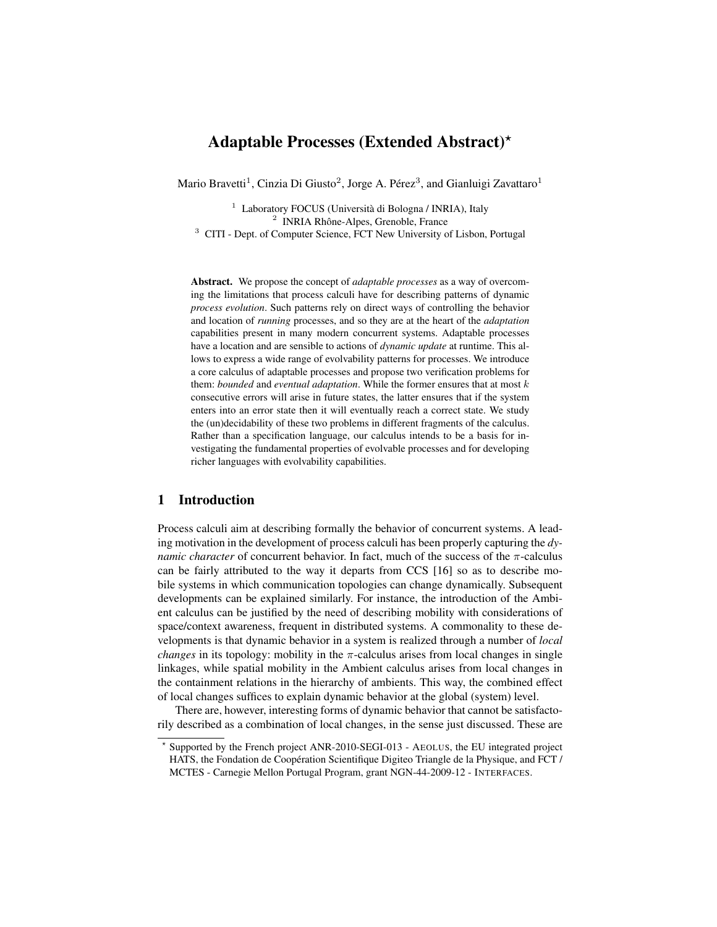# Adaptable Processes (Extended Abstract)?

Mario Bravetti $^1$ , Cinzia Di Giusto $^2$ , Jorge A. Pérez $^3$ , and Gianluigi Zavattaro $^1$ 

<sup>1</sup> Laboratory FOCUS (Università di Bologna / INRIA), Italy 2 INRIA Rhône-Alpes, Grenoble, France <sup>3</sup> CITI - Dept. of Computer Science, FCT New University of Lisbon, Portugal

Abstract. We propose the concept of *adaptable processes* as a way of overcoming the limitations that process calculi have for describing patterns of dynamic *process evolution*. Such patterns rely on direct ways of controlling the behavior and location of *running* processes, and so they are at the heart of the *adaptation* capabilities present in many modern concurrent systems. Adaptable processes have a location and are sensible to actions of *dynamic update* at runtime. This allows to express a wide range of evolvability patterns for processes. We introduce a core calculus of adaptable processes and propose two verification problems for them: *bounded* and *eventual adaptation*. While the former ensures that at most k consecutive errors will arise in future states, the latter ensures that if the system enters into an error state then it will eventually reach a correct state. We study the (un)decidability of these two problems in different fragments of the calculus. Rather than a specification language, our calculus intends to be a basis for investigating the fundamental properties of evolvable processes and for developing richer languages with evolvability capabilities.

### 1 Introduction

Process calculi aim at describing formally the behavior of concurrent systems. A leading motivation in the development of process calculi has been properly capturing the *dynamic character* of concurrent behavior. In fact, much of the success of the  $\pi$ -calculus can be fairly attributed to the way it departs from CCS [16] so as to describe mobile systems in which communication topologies can change dynamically. Subsequent developments can be explained similarly. For instance, the introduction of the Ambient calculus can be justified by the need of describing mobility with considerations of space/context awareness, frequent in distributed systems. A commonality to these developments is that dynamic behavior in a system is realized through a number of *local changes* in its topology: mobility in the  $\pi$ -calculus arises from local changes in single linkages, while spatial mobility in the Ambient calculus arises from local changes in the containment relations in the hierarchy of ambients. This way, the combined effect of local changes suffices to explain dynamic behavior at the global (system) level.

There are, however, interesting forms of dynamic behavior that cannot be satisfactorily described as a combination of local changes, in the sense just discussed. These are

<sup>?</sup> Supported by the French project ANR-2010-SEGI-013 - AEOLUS, the EU integrated project HATS, the Fondation de Coopération Scientifique Digiteo Triangle de la Physique, and FCT / MCTES - Carnegie Mellon Portugal Program, grant NGN-44-2009-12 - INTERFACES.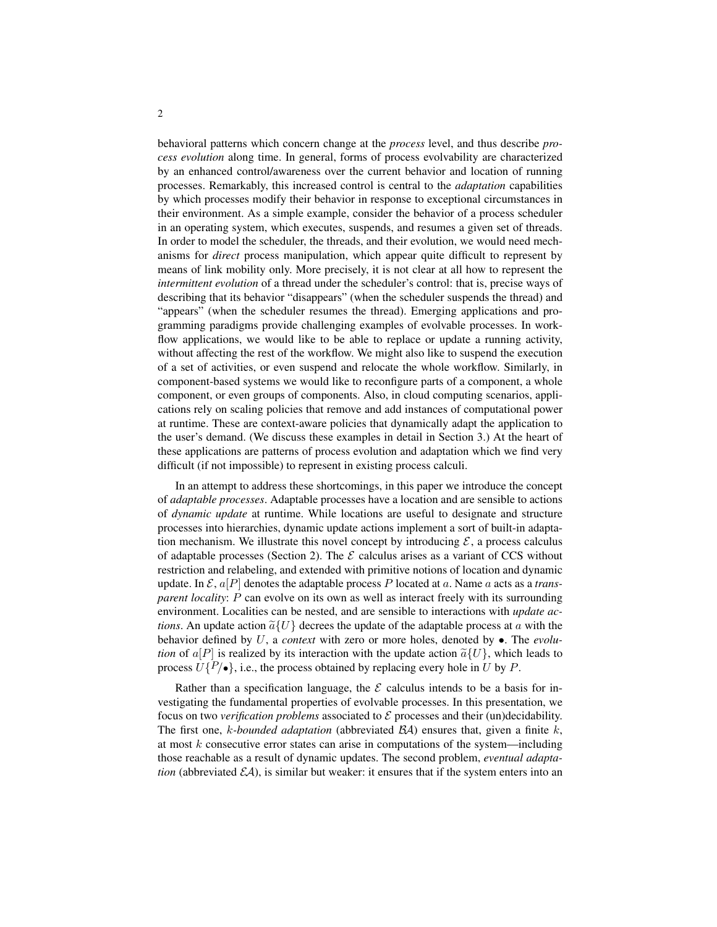behavioral patterns which concern change at the *process* level, and thus describe *process evolution* along time. In general, forms of process evolvability are characterized by an enhanced control/awareness over the current behavior and location of running processes. Remarkably, this increased control is central to the *adaptation* capabilities by which processes modify their behavior in response to exceptional circumstances in their environment. As a simple example, consider the behavior of a process scheduler in an operating system, which executes, suspends, and resumes a given set of threads. In order to model the scheduler, the threads, and their evolution, we would need mechanisms for *direct* process manipulation, which appear quite difficult to represent by means of link mobility only. More precisely, it is not clear at all how to represent the *intermittent evolution* of a thread under the scheduler's control: that is, precise ways of describing that its behavior "disappears" (when the scheduler suspends the thread) and "appears" (when the scheduler resumes the thread). Emerging applications and programming paradigms provide challenging examples of evolvable processes. In workflow applications, we would like to be able to replace or update a running activity, without affecting the rest of the workflow. We might also like to suspend the execution of a set of activities, or even suspend and relocate the whole workflow. Similarly, in component-based systems we would like to reconfigure parts of a component, a whole component, or even groups of components. Also, in cloud computing scenarios, applications rely on scaling policies that remove and add instances of computational power at runtime. These are context-aware policies that dynamically adapt the application to the user's demand. (We discuss these examples in detail in Section 3.) At the heart of these applications are patterns of process evolution and adaptation which we find very difficult (if not impossible) to represent in existing process calculi.

In an attempt to address these shortcomings, in this paper we introduce the concept of *adaptable processes*. Adaptable processes have a location and are sensible to actions of *dynamic update* at runtime. While locations are useful to designate and structure processes into hierarchies, dynamic update actions implement a sort of built-in adaptation mechanism. We illustrate this novel concept by introducing  $\mathcal{E}$ , a process calculus of adaptable processes (Section 2). The  $\mathcal E$  calculus arises as a variant of CCS without restriction and relabeling, and extended with primitive notions of location and dynamic update. In  $\mathcal{E}, a[P]$  denotes the adaptable process P located at a. Name a acts as a *transparent locality: P* can evolve on its own as well as interact freely with its surrounding environment. Localities can be nested, and are sensible to interactions with *update actions*. An update action  $\tilde{a} \{U\}$  decrees the update of the adaptable process at a with the behavior defined by U, a *context* with zero or more holes, denoted by •. The *evolution* of  $a[P]$  is realized by its interaction with the update action  $\tilde{a}{U}$ , which leads to process  $U\{P/\bullet\}$ , i.e., the process obtained by replacing every hole in U by P.

Rather than a specification language, the  $\mathcal E$  calculus intends to be a basis for investigating the fundamental properties of evolvable processes. In this presentation, we focus on two *verification problems* associated to  $\mathcal E$  processes and their (un)decidability. The first one,  $k$ -bounded adaptation (abbreviated  $\mathcal{BA}$ ) ensures that, given a finite  $k$ , at most  $k$  consecutive error states can arise in computations of the system—including those reachable as a result of dynamic updates. The second problem, *eventual adaptation* (abbreviated  $\mathcal{E}A$ ), is similar but weaker: it ensures that if the system enters into an

2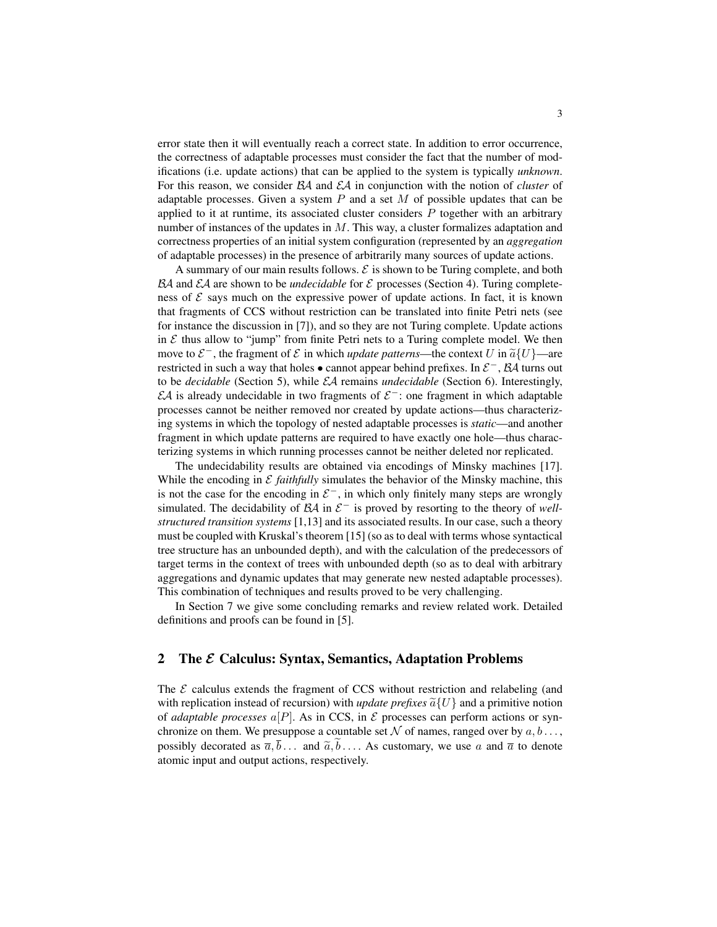error state then it will eventually reach a correct state. In addition to error occurrence, the correctness of adaptable processes must consider the fact that the number of modifications (i.e. update actions) that can be applied to the system is typically *unknown*. For this reason, we consider BA and EA in conjunction with the notion of *cluster* of adaptable processes. Given a system  $P$  and a set  $M$  of possible updates that can be applied to it at runtime, its associated cluster considers  $P$  together with an arbitrary number of instances of the updates in  $M$ . This way, a cluster formalizes adaptation and correctness properties of an initial system configuration (represented by an *aggregation* of adaptable processes) in the presence of arbitrarily many sources of update actions.

A summary of our main results follows.  $\mathcal E$  is shown to be Turing complete, and both  $\mathcal{B}A$  and  $\mathcal{E}A$  are shown to be *undecidable* for  $\mathcal E$  processes (Section 4). Turing completeness of  $\mathcal E$  says much on the expressive power of update actions. In fact, it is known that fragments of CCS without restriction can be translated into finite Petri nets (see for instance the discussion in [7]), and so they are not Turing complete. Update actions in  $\mathcal E$  thus allow to "jump" from finite Petri nets to a Turing complete model. We then move to  $\mathcal{E}^-$ , the fragment of  $\mathcal{E}$  in which *update patterns*—the context U in  $\tilde{a}\{U\}$ —are restricted in such a way that holes  $\bullet$  cannot appear behind prefixes. In  $\mathcal{E}^-$ ,  $\mathcal{B}A$  turns out to be *decidable* (Section 5), while EA remains *undecidable* (Section 6). Interestingly,  $\mathcal{E}A$  is already undecidable in two fragments of  $\mathcal{E}^-$ : one fragment in which adaptable processes cannot be neither removed nor created by update actions—thus characterizing systems in which the topology of nested adaptable processes is *static*—and another fragment in which update patterns are required to have exactly one hole—thus characterizing systems in which running processes cannot be neither deleted nor replicated.

The undecidability results are obtained via encodings of Minsky machines [17]. While the encoding in  $\mathcal E$  *faithfully* simulates the behavior of the Minsky machine, this is not the case for the encoding in  $\mathcal{E}^-$ , in which only finitely many steps are wrongly simulated. The decidability of  $\mathcal{B}A$  in  $\mathcal{E}^-$  is proved by resorting to the theory of *wellstructured transition systems* [1,13] and its associated results. In our case, such a theory must be coupled with Kruskal's theorem [15] (so as to deal with terms whose syntactical tree structure has an unbounded depth), and with the calculation of the predecessors of target terms in the context of trees with unbounded depth (so as to deal with arbitrary aggregations and dynamic updates that may generate new nested adaptable processes). This combination of techniques and results proved to be very challenging.

In Section 7 we give some concluding remarks and review related work. Detailed definitions and proofs can be found in [5].

#### 2 The  $\mathcal E$  Calculus: Syntax, Semantics, Adaptation Problems

The  $\mathcal E$  calculus extends the fragment of CCS without restriction and relabeling (and with replication instead of recursion) with *update prefixes*  $\tilde{a} \{U\}$  and a primitive notion of *adaptable processes*  $\alpha[P]$ . As in CCS, in  $\mathcal E$  processes can perform actions or synchronize on them. We presuppose a countable set N of names, ranged over by  $a, b \ldots$ , possibly decorated as  $\overline{a}, \overline{b}$ ... and  $\widetilde{a}, \widetilde{b}$ .... As customary, we use a and  $\overline{a}$  to denote atomic input and output actions, respectively.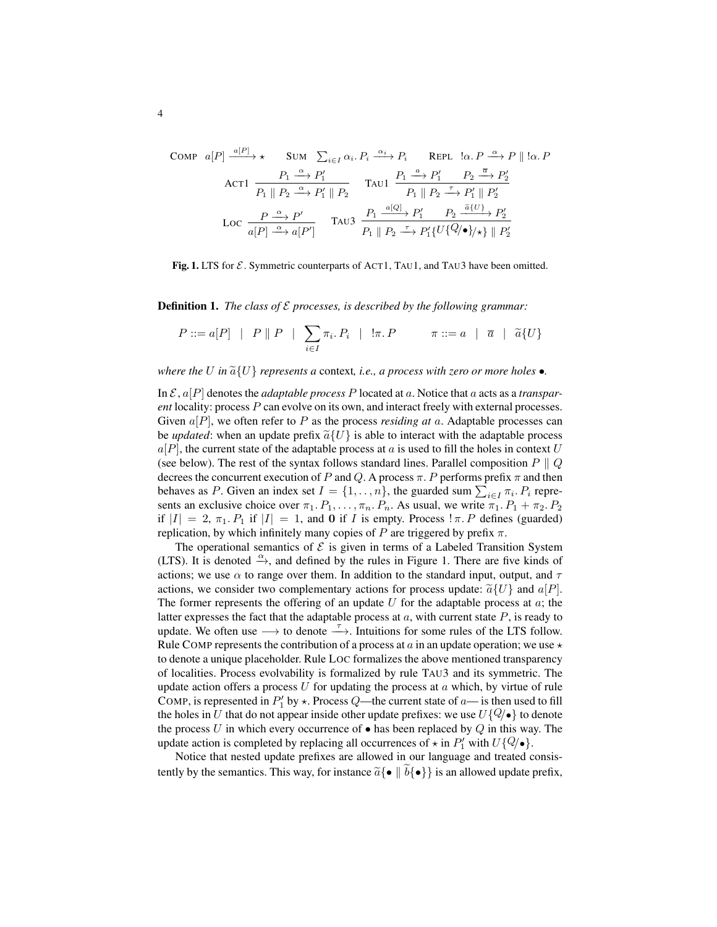COMP

\n
$$
a[P] \xrightarrow{a[P]} \star \text{ Sum } \sum_{i \in I} \alpha_i P_i \xrightarrow{\alpha_i} P_i \text{ REPL } !\alpha P \xrightarrow{\alpha} P \parallel !\alpha P
$$
\nACT1

\n
$$
\frac{P_1 \xrightarrow{\alpha} P'_1}{P_1 \parallel P_2 \xrightarrow{\alpha} P'_1 \parallel P_2} \text{ TAU1 } \frac{P_1 \xrightarrow{a} P'_1}{P_1 \parallel P_2 \xrightarrow{\tau} P'_1 \parallel P'_2}
$$
\nLoc

\n
$$
\frac{P \xrightarrow{\alpha} P'}{a[P] \xrightarrow{\alpha} a[P']} \text{ TAU3 } \frac{P_1 \xrightarrow{a[Q]} P'_1}{P_1 \parallel P_2 \xrightarrow{\tau} P'_1 \{U\{Q/\bullet\}/\star\} \parallel P'_2}
$$

Fig. 1. LTS for  $\mathcal{E}$ . Symmetric counterparts of ACT1, TAU1, and TAU3 have been omitted.

**Definition 1.** *The class of*  $\mathcal{E}$  *processes, is described by the following grammar:* 

$$
P ::= a[P] \mid P \parallel P \mid \sum_{i \in I} \pi_i P_i \mid \exists \pi P \qquad \pi ::= a \mid \overline{a} \mid \widetilde{a} \{U\}
$$

*where the* U in  $\tilde{a} \{U\}$  *represents a* context, *i.e., a process with zero or more holes* •.

In  $\mathcal{E}, a[P]$  denotes the *adaptable process P* located at a. Notice that a acts as a *transparent* locality: process P can evolve on its own, and interact freely with external processes. Given a[P], we often refer to P as the process *residing at* a. Adaptable processes can be *updated*: when an update prefix  $\tilde{a} \{U\}$  is able to interact with the adaptable process  $a[P]$ , the current state of the adaptable process at a is used to fill the holes in context U (see below). The rest of the syntax follows standard lines. Parallel composition  $P \parallel Q$ decrees the concurrent execution of P and Q. A process  $\pi$ . P performs prefix  $\pi$  and then behaves as P. Given an index set  $I = \{1, \ldots, n\}$ , the guarded sum  $\sum_{i \in I} \pi_i$ .  $P_i$  represents an exclusive choice over  $\pi_1$ .  $P_1, \ldots, \pi_n$ .  $P_n$ . As usual, we write  $\pi_1$ .  $P_1 + \pi_2$ .  $P_2$ if  $|I| = 2$ ,  $\pi_1$ .  $P_1$  if  $|I| = 1$ , and 0 if I is empty. Process  $\pi P$  defines (guarded) replication, by which infinitely many copies of P are triggered by prefix  $\pi$ .

The operational semantics of  $\mathcal E$  is given in terms of a Labeled Transition System (LTS). It is denoted  $\stackrel{\alpha}{\rightarrow}$ , and defined by the rules in Figure 1. There are five kinds of actions; we use  $\alpha$  to range over them. In addition to the standard input, output, and  $\tau$ actions, we consider two complementary actions for process update:  $\tilde{a}\{U\}$  and  $a[P]$ . The former represents the offering of an update  $U$  for the adaptable process at  $a$ ; the latter expresses the fact that the adaptable process at  $a$ , with current state  $P$ , is ready to update. We often use  $\longrightarrow$  to denote  $\stackrel{\tau}{\longrightarrow}$ . Intuitions for some rules of the LTS follow. Rule COMP represents the contribution of a process at a in an update operation; we use  $\star$ to denote a unique placeholder. Rule LOC formalizes the above mentioned transparency of localities. Process evolvability is formalized by rule TAU3 and its symmetric. The update action offers a process  $U$  for updating the process at  $a$  which, by virtue of rule COMP, is represented in  $P'_1$  by  $\star$ . Process Q—the current state of a— is then used to fill the holes in U that do not appear inside other update prefixes: we use  $U\{\mathcal{Q}/\bullet\}$  to denote the process U in which every occurrence of  $\bullet$  has been replaced by Q in this way. The update action is completed by replacing all occurrences of  $\star$  in  $P'_1$  with  $U\{Q/\bullet\}$ .

Notice that nested update prefixes are allowed in our language and treated consistently by the semantics. This way, for instance  $\tilde{a} \{ \bullet \mid b \{ \bullet \} \}$  is an allowed update prefix,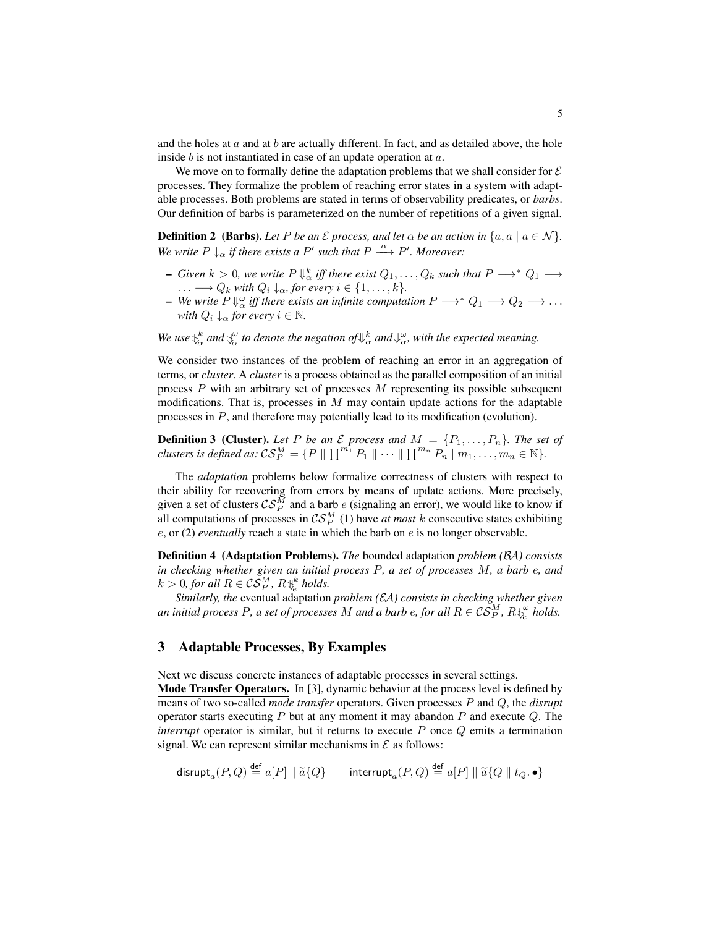and the holes at  $a$  and at  $b$  are actually different. In fact, and as detailed above, the hole inside b is not instantiated in case of an update operation at a.

We move on to formally define the adaptation problems that we shall consider for  $\mathcal E$ processes. They formalize the problem of reaching error states in a system with adaptable processes. Both problems are stated in terms of observability predicates, or *barbs*. Our definition of barbs is parameterized on the number of repetitions of a given signal.

**Definition 2** (Barbs). Let P be an  $\mathcal E$  process, and let  $\alpha$  be an action in  $\{a, \overline{a} \mid a \in \mathcal N\}$ . *We write*  $P \downarrow_{\alpha}$  *if there exists a*  $P'$  *such that*  $P \stackrel{\alpha}{\longrightarrow} P'$ *. Moreover:* 

- $-$  *Given*  $k > 0$ , we write  $P \Downarrow_{\alpha}^k$  iff there exist  $Q_1, \ldots, Q_k$  such that  $P \longrightarrow^* Q_1 \longrightarrow$ ...  $\longrightarrow Q_k$  *with*  $Q_i \downarrow_{\alpha}$ , for every  $i \in \{1, \ldots, k\}.$
- **-** We write  $P \Downarrow_{\alpha}^{\omega}$  iff there exists an infinite computation  $P \longrightarrow^* Q_1 \longrightarrow Q_2 \longrightarrow \dots$ *with*  $Q_i \downarrow_\alpha$  *for every*  $i \in \mathbb{N}$ *.*
- We use  $\psi_\alpha^k$  and  $\psi_\alpha^\omega$  to denote the negation of  $\psi_\alpha^k$  and  $\psi_\alpha^\omega$ , with the expected meaning.

We consider two instances of the problem of reaching an error in an aggregation of terms, or *cluster*. A *cluster* is a process obtained as the parallel composition of an initial process  $P$  with an arbitrary set of processes  $M$  representing its possible subsequent modifications. That is, processes in  $M$  may contain update actions for the adaptable processes in P, and therefore may potentially lead to its modification (evolution).

**Definition 3 (Cluster).** Let P be an  $\mathcal E$  process and  $M = \{P_1, \ldots, P_n\}$ . The set of *clusters is defined as:*  $\mathcal{CS}_P^M = \{P \mid \prod^{m_1} P_1 \mid \cdots \mid \prod^{m_n} P_n \mid m_1, \ldots, m_n \in \mathbb{N}\}.$ 

The *adaptation* problems below formalize correctness of clusters with respect to their ability for recovering from errors by means of update actions. More precisely, given a set of clusters  $\mathcal{CS}_P^M$  and a barb e (signaling an error), we would like to know if all computations of processes in  $\mathcal{CS}_P^M$  (1) have *at most* k consecutive states exhibiting  $e$ , or (2) *eventually* reach a state in which the barb on  $e$  is no longer observable.

Definition 4 (Adaptation Problems). *The* bounded adaptation *problem (*BA*) consists in checking whether given an initial process* P*, a set of processes* M*, a barb* e*, and*  $k > 0$ , for all  $R \in \mathcal{CS}_P^M$ ,  $R \biguplus_{e}^k \text{ holds.}$ 

*Similarly, the* eventual adaptation *problem (*EA*) consists in checking whether given* an initial process P, a set of processes  $M$  and a barb  $e$ , for all  $R\in \mathcal{CS}_P^M$ ,  $R\psi_e^\omega$  holds.

### 3 Adaptable Processes, By Examples

Next we discuss concrete instances of adaptable processes in several settings.

Mode Transfer Operators. In [3], dynamic behavior at the process level is defined by means of two so-called *mode transfer* operators. Given processes P and Q, the *disrupt* operator starts executing  $P$  but at any moment it may abandon  $P$  and execute  $Q$ . The *interrupt* operator is similar, but it returns to execute P once Q emits a termination signal. We can represent similar mechanisms in  $\mathcal E$  as follows:

$$
\mathsf{disrupt}_a(P,Q) \stackrel{\mathsf{def}}{=} a[P] \parallel \widetilde{a}\{Q\} \qquad \mathsf{interrupt}_a(P,Q) \stackrel{\mathsf{def}}{=} a[P] \parallel \widetilde{a}\{Q \parallel t_Q, \bullet\}
$$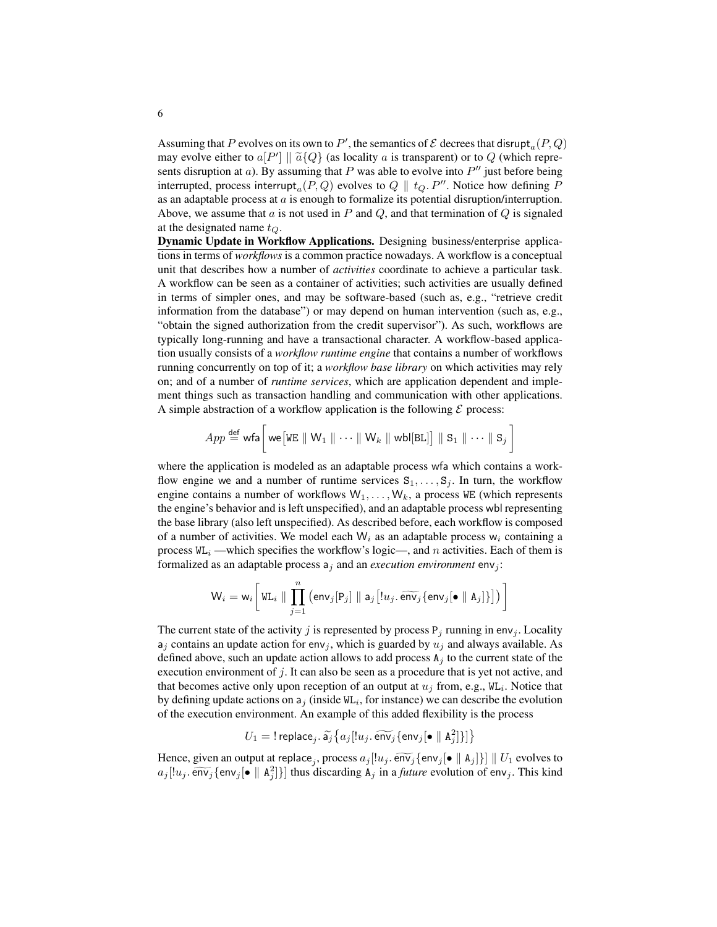Assuming that P evolves on its own to P', the semantics of  $\mathcal E$  decrees that disrupt<sub>a</sub> $(P,Q)$ may evolve either to  $a[P'] \parallel \tilde{a} \{Q\}$  (as locality a is transparent) or to Q (which repre-<br>sents discursion at a). By assuming that P was able to evolve into P'' just before being sents disruption at  $a$ ). By assuming that P was able to evolve into  $P''$  just before being interrupted, process interrupt<sub>a</sub> $(P,Q)$  evolves to  $Q \parallel t_Q$ . P''. Notice how defining P as an adaptable process at  $a$  is enough to formalize its potential disruption/interruption. Above, we assume that a is not used in P and  $Q$ , and that termination of  $Q$  is signaled at the designated name  $t_{\Omega}$ .

Dynamic Update in Workflow Applications. Designing business/enterprise applications in terms of *workflows* is a common practice nowadays. A workflow is a conceptual unit that describes how a number of *activities* coordinate to achieve a particular task. A workflow can be seen as a container of activities; such activities are usually defined in terms of simpler ones, and may be software-based (such as, e.g., "retrieve credit information from the database") or may depend on human intervention (such as, e.g., "obtain the signed authorization from the credit supervisor"). As such, workflows are typically long-running and have a transactional character. A workflow-based application usually consists of a *workflow runtime engine* that contains a number of workflows running concurrently on top of it; a *workflow base library* on which activities may rely on; and of a number of *runtime services*, which are application dependent and implement things such as transaction handling and communication with other applications. A simple abstraction of a workflow application is the following  $\mathcal E$  process:

$$
App \stackrel{\mathsf{def}}{=} \mathsf{wfa}\bigg[\mathsf{we}\big[\mathsf{WE} \parallel \mathsf{W}_1 \parallel \cdots \parallel \mathsf{W}_k \parallel \mathsf{wbl}[\mathtt{BL}] \big] \parallel \mathtt{S}_1 \parallel \cdots \parallel \mathtt{S}_j \bigg]
$$

where the application is modeled as an adaptable process wfa which contains a workflow engine we and a number of runtime services  $S_1, \ldots, S_j$ . In turn, the workflow engine contains a number of workflows  $W_1, \ldots, W_k$ , a process WE (which represents the engine's behavior and is left unspecified), and an adaptable process wbl representing the base library (also left unspecified). As described before, each workflow is composed of a number of activities. We model each  $W_i$  as an adaptable process  $W_i$  containing a process  $\mathbb{W}_{i}$  —which specifies the workflow's logic—, and n activities. Each of them is formalized as an adaptable process  $a_i$  and an *execution environment* env<sub>j</sub>:

$$
\mathsf{W}_i = \mathsf{w}_i\bigg[\,\mathtt{WL}_i \parallel \prod_{j=1}^n\, \big(\mathsf{env}_j[\mathrm{P}_j] \parallel \mathsf{a}_j\big[!u_j.\,\widetilde{\mathsf{env}}_j\{\mathsf{env}_j[\bullet \parallel \mathrm{A}_j]\}\big]\big)\,\bigg]
$$

The current state of the activity j is represented by process  $P_j$  running in env<sub>j</sub>. Locality  $a_j$  contains an update action for env<sub>j</sub>, which is guarded by  $u_j$  and always available. As defined above, such an update action allows to add process  $A_i$  to the current state of the execution environment of j. It can also be seen as a procedure that is yet not active, and that becomes active only upon reception of an output at  $u_j$  from, e.g.,  $W_{i,j}$ . Notice that by defining update actions on  $a_j$  (inside  $WL_i$ , for instance) we can describe the evolution of the execution environment. An example of this added flexibility is the process

$$
U_1 = \text{I replace}_j, \widetilde{\mathsf{a}}_j \big\{ a_j [!u_j, \widetilde{\text{env}}_j \{\text{env}_j [\bullet \parallel \mathtt{A}_j^2] \}] \big\}
$$

Hence, given an output at replace, process  $a_j[[u_j, \widetilde{\text{env}}_j\{\text{env}}_j] \bullet ||A_j]\}] || U_1$  evolves to  $a_j[[u_j, \widetilde{\text{env}}_j] \bullet ||A_j]$  $a_j$ [ $[u_j, \widetilde{\text{env}}_j$ { $\text{env}_j$ [ $\bullet$  || A<sub>2</sub><sup>2</sup>]}] thus discarding A<sub>j</sub> in a *future* evolution of env<sub>j</sub>. This kind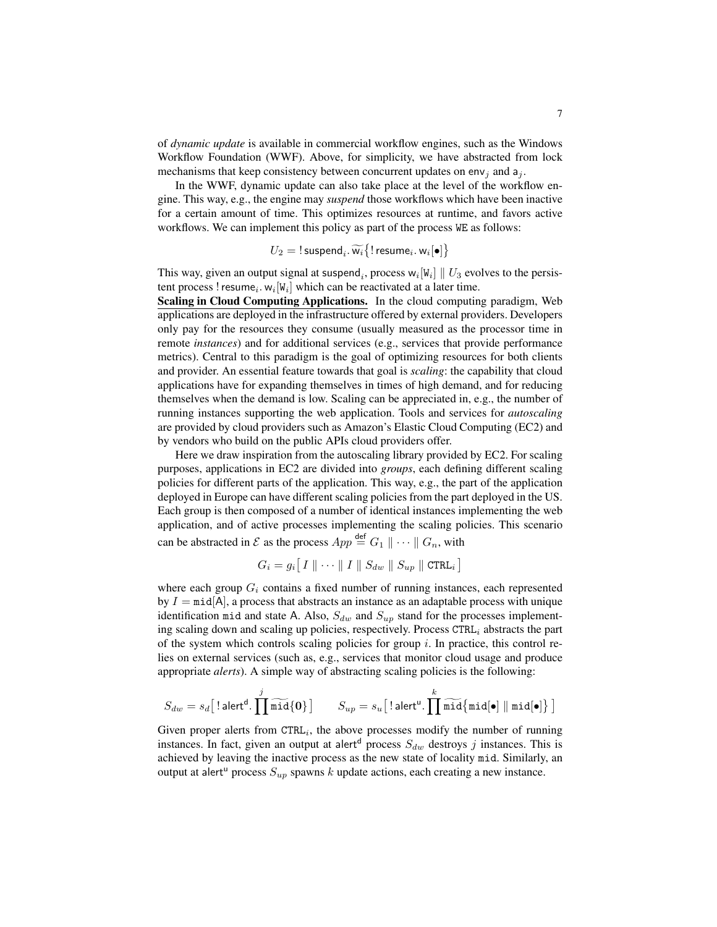of *dynamic update* is available in commercial workflow engines, such as the Windows Workflow Foundation (WWF). Above, for simplicity, we have abstracted from lock mechanisms that keep consistency between concurrent updates on env<sub>i</sub> and  $a_i$ .

In the WWF, dynamic update can also take place at the level of the workflow engine. This way, e.g., the engine may *suspend* those workflows which have been inactive for a certain amount of time. This optimizes resources at runtime, and favors active workflows. We can implement this policy as part of the process WE as follows:

$$
U_2 = \text{! suspend}_i, \widetilde{w_i} \{ \text{! resume}_i, w_i[\bullet] \}
$$

This way, given an output signal at suspend<sub>i</sub>, process  $w_i[W_i] \parallel U_3$  evolves to the persistent process ! resume<sub>i</sub>.  $w_i[W_i]$  which can be reactivated at a later time.

Scaling in Cloud Computing Applications. In the cloud computing paradigm, Web applications are deployed in the infrastructure offered by external providers. Developers only pay for the resources they consume (usually measured as the processor time in remote *instances*) and for additional services (e.g., services that provide performance metrics). Central to this paradigm is the goal of optimizing resources for both clients and provider. An essential feature towards that goal is *scaling*: the capability that cloud applications have for expanding themselves in times of high demand, and for reducing themselves when the demand is low. Scaling can be appreciated in, e.g., the number of running instances supporting the web application. Tools and services for *autoscaling* are provided by cloud providers such as Amazon's Elastic Cloud Computing (EC2) and by vendors who build on the public APIs cloud providers offer.

Here we draw inspiration from the autoscaling library provided by EC2. For scaling purposes, applications in EC2 are divided into *groups*, each defining different scaling policies for different parts of the application. This way, e.g., the part of the application deployed in Europe can have different scaling policies from the part deployed in the US. Each group is then composed of a number of identical instances implementing the web application, and of active processes implementing the scaling policies. This scenario can be abstracted in  $\mathcal E$  as the process  $App \stackrel{\text{def}}{=} G_1 \parallel \cdots \parallel G_n$ , with

$$
G_i = g_i \big[ I \parallel \cdots \parallel I \parallel S_{dw} \parallel S_{up} \parallel \text{CTRL}_i \big]
$$

where each group  $G_i$  contains a fixed number of running instances, each represented by  $I = \text{mid} |A|$ , a process that abstracts an instance as an adaptable process with unique identification mid and state A. Also,  $S_{dw}$  and  $S_{up}$  stand for the processes implementing scaling down and scaling up policies, respectively. Process  $\text{CTRL}_i$  abstracts the part of the system which controls scaling policies for group  $i$ . In practice, this control relies on external services (such as, e.g., services that monitor cloud usage and produce appropriate *alerts*). A simple way of abstracting scaling policies is the following:

$$
S_{dw} = s_d \big[ \, \text{\rm{leert}}^{\text{\rm{d}}}.\, \prod_{i=1}^j \widetilde{\text{\rm{mid}}}\{0\} \, \big] \qquad S_{up} = s_u \big[ \, \text{\rm{leert}}^{\text{\rm{u}}}.\, \prod_{i=1}^k \widetilde{\text{\rm{mid}}}\{ \text{\rm{mid}}[\bullet] \mid \text{\rm{mid}}[\bullet] \, \big\} \, \big]
$$

Given proper alerts from  $\text{CTRL}_i$ , the above processes modify the number of running instances. In fact, given an output at alert<sup>d</sup> process  $S_{dw}$  destroys j instances. This is achieved by leaving the inactive process as the new state of locality mid. Similarly, an output at alert<sup>u</sup> process  $S_{up}$  spawns k update actions, each creating a new instance.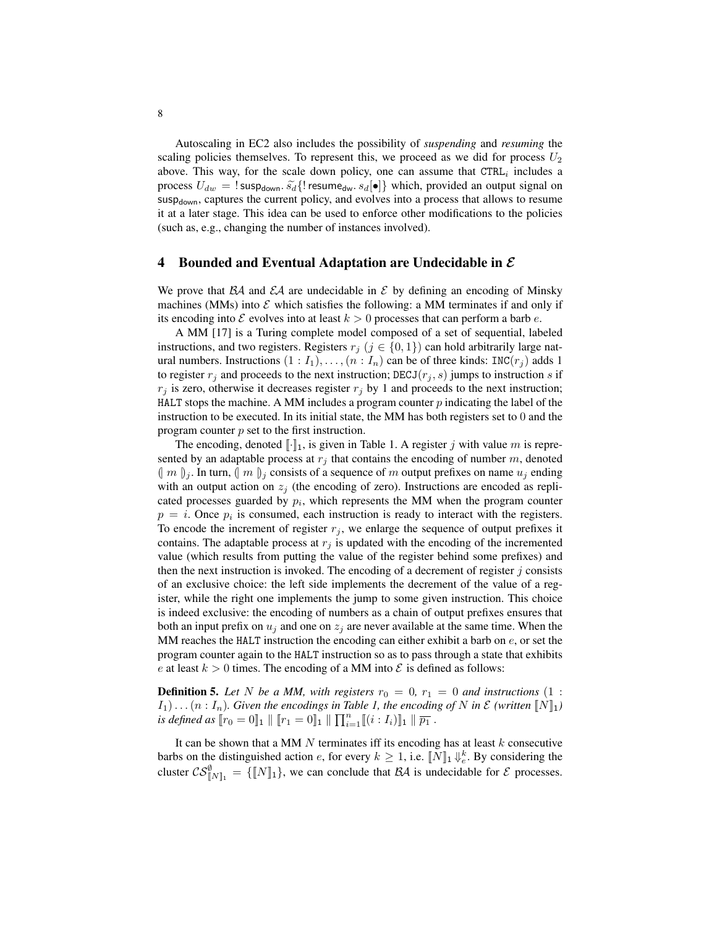Autoscaling in EC2 also includes the possibility of *suspending* and *resuming* the scaling policies themselves. To represent this, we proceed as we did for process  $U_2$ above. This way, for the scale down policy, one can assume that  $\texttt{CTRL}_i$  includes a process  $U_{dw} = \text{!} \text{sup}_{d^{\text{own}}} \tilde{s}_d \{ \text{!} \text{resume}_{dw} \cdot s_d [\bullet] \}$  which, provided an output signal on susp<sub>down</sub>, captures the current policy, and evolves into a process that allows to resume it at a later stage. This idea can be used to enforce other modifications to the policies (such as, e.g., changing the number of instances involved).

#### 4 Bounded and Eventual Adaptation are Undecidable in  $\mathcal E$

We prove that  $\beta A$  and  $\beta A$  are undecidable in  $\beta$  by defining an encoding of Minsky machines (MMs) into  $\mathcal E$  which satisfies the following: a MM terminates if and only if its encoding into  $\mathcal E$  evolves into at least  $k > 0$  processes that can perform a barb e.

A MM [17] is a Turing complete model composed of a set of sequential, labeled instructions, and two registers. Registers  $r_j$  ( $j \in \{0, 1\}$ ) can hold arbitrarily large natural numbers. Instructions  $(1 : I_1), \ldots, (n : I_n)$  can be of three kinds: INC $(r_i)$  adds 1 to register  $r_i$  and proceeds to the next instruction; DECJ( $r_i$ , s) jumps to instruction s if  $r_j$  is zero, otherwise it decreases register  $r_j$  by 1 and proceeds to the next instruction; HALT stops the machine. A MM includes a program counter  $p$  indicating the label of the instruction to be executed. In its initial state, the MM has both registers set to 0 and the program counter  $p$  set to the first instruction.

The encoding, denoted  $\lbrack \cdot \rbrack_1$ , is given in Table 1. A register j with value m is represented by an adaptable process at  $r_j$  that contains the encoding of number m, denoted  $(m)$ <sub>j</sub>. In turn,  $(m)$ <sub>j</sub> consists of a sequence of m output prefixes on name  $u_j$  ending with an output action on  $z_j$  (the encoding of zero). Instructions are encoded as replicated processes guarded by  $p_i$ , which represents the MM when the program counter  $p = i$ . Once  $p_i$  is consumed, each instruction is ready to interact with the registers. To encode the increment of register  $r_i$ , we enlarge the sequence of output prefixes it contains. The adaptable process at  $r_j$  is updated with the encoding of the incremented value (which results from putting the value of the register behind some prefixes) and then the next instruction is invoked. The encoding of a decrement of register  $j$  consists of an exclusive choice: the left side implements the decrement of the value of a register, while the right one implements the jump to some given instruction. This choice is indeed exclusive: the encoding of numbers as a chain of output prefixes ensures that both an input prefix on  $u_i$  and one on  $z_i$  are never available at the same time. When the MM reaches the HALT instruction the encoding can either exhibit a barb on  $e$ , or set the program counter again to the HALT instruction so as to pass through a state that exhibits e at least  $k > 0$  times. The encoding of a MM into  $\mathcal E$  is defined as follows:

**Definition 5.** Let N be a MM, with registers  $r_0 = 0$ ,  $r_1 = 0$  and instructions (1 :  $I_1$ )... ( $n: I_n$ ). Given the encodings in Table 1, the encoding of N in  $\mathcal{E}$  (written  $\llbracket N \rrbracket_1$ ) *is defined as*  $[r_0 = 0]_1 \parallel [r_1 = 0]_1 \parallel \prod_{i=1}^n [(i : I_i)]_1 \parallel \overline{p_1}$ .

It can be shown that a MM  $N$  terminates iff its encoding has at least  $k$  consecutive barbs on the distinguished action e, for every  $k \geq 1$ , i.e.  $[N]_1 \Downarrow_e^k$ . By considering the cluster  $CS_{[N]_1}^{\emptyset} = \{ [N]_1 \}$ , we can conclude that  $\mathcal{B}A$  is undecidable for  $\mathcal E$  processes.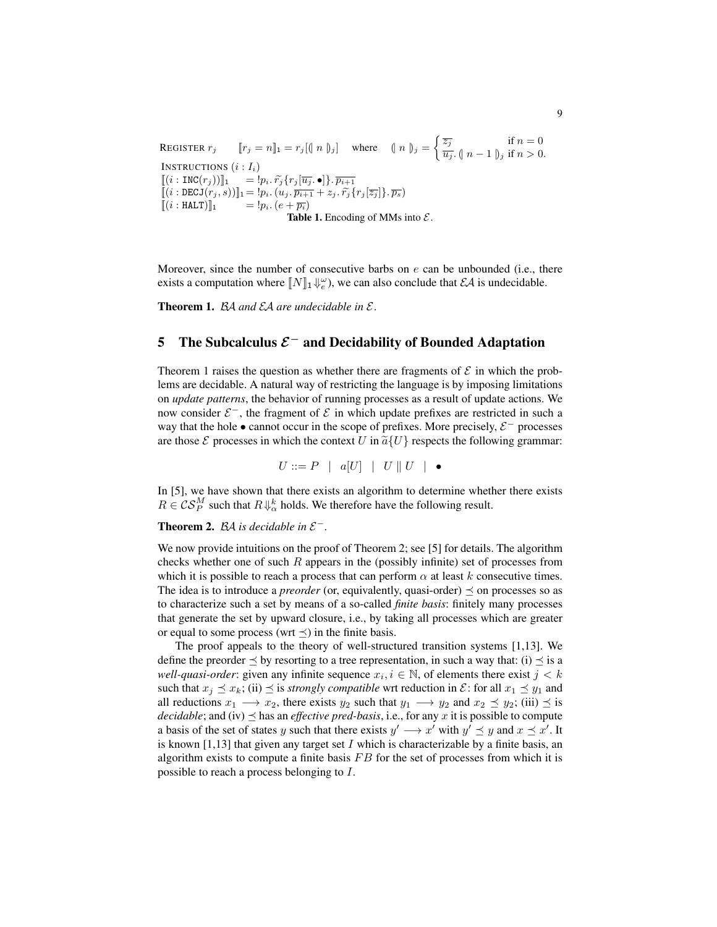REGISTER  $r_j$   $[r_j = n]_1 = r_j [(n_j)_j]$  where  $(n_j)_j = \begin{cases} \frac{\overline{z_j}}{\overline{z_j}} & \text{if } n = 0 \\ \frac{\overline{z_j}}{\overline{z_j}} & \text{if } n > 0 \end{cases}$  $\overline{u_j}$ . (|  $n-1$  ||) if  $n > 0$ . INSTRUCTIONS  $(i : I_i)$  $[[(i : \text{INC}(r_j))]_1 = !p_i \cdot \widetilde{r}_j \{r_j[\overline{u_j}.\bullet]\}.\overline{p_{i+1}}]$  $\begin{array}{llll} \lbrack\! \lbrack(i:DECJ(r_j,s))\rbrack\! \rbrack_1 = !p_i. \left( u_j. \overline{p_{i+1}} + z_j. \, \widetilde{r_j} \{r_j[\overline{z_j}]\}. \, \overline{p_s} \right) \\ \lbrack\! \lbrack(i:HALT)\rbrack\! \rbrack_1 & = !p_i. \left( e + \overline{p_i} \right) \end{array}$  $= !p_i . (e + \overline{p_i})$ Table 1. Encoding of MMs into  $\mathcal{E}$ .

Moreover, since the number of consecutive barbs on  $e$  can be unbounded (i.e., there exists a computation where  $[\![N]\!]_1 \Downarrow_e^{\omega}$ , we can also conclude that  $\mathcal{EA}$  is undecidable.

Theorem 1. BA *and* EA *are undecidable in* E *.*

## 5 The Subcalculus  $\mathcal{E}^-$  and Decidability of Bounded Adaptation

Theorem 1 raises the question as whether there are fragments of  $\mathcal E$  in which the problems are decidable. A natural way of restricting the language is by imposing limitations on *update patterns*, the behavior of running processes as a result of update actions. We now consider  $\mathcal{E}^-$ , the fragment of  $\mathcal E$  in which update prefixes are restricted in such a way that the hole  $\bullet$  cannot occur in the scope of prefixes. More precisely,  $\mathcal{E}^-$  processes are those  $\mathcal E$  processes in which the context U in  $\tilde{a} \{U\}$  respects the following grammar:

$$
U ::= P \mid a[U] \mid U \parallel U \mid \bullet
$$

In [5], we have shown that there exists an algorithm to determine whether there exists  $R \in \mathcal{CS}_P^M$  such that  $R\Downarrow_\alpha^k$  holds. We therefore have the following result.

Theorem 2.  $BA$  is decidable in  $\mathcal{E}^-$ .

We now provide intuitions on the proof of Theorem 2; see [5] for details. The algorithm checks whether one of such  $R$  appears in the (possibly infinite) set of processes from which it is possible to reach a process that can perform  $\alpha$  at least k consecutive times. The idea is to introduce a *preorder* (or, equivalently, quasi-order)  $\preceq$  on processes so as to characterize such a set by means of a so-called *finite basis*: finitely many processes that generate the set by upward closure, i.e., by taking all processes which are greater or equal to some process (wrt  $\preceq$ ) in the finite basis.

The proof appeals to the theory of well-structured transition systems [1,13]. We define the preorder  $\leq$  by resorting to a tree representation, in such a way that: (i)  $\leq$  is a *well-quasi-order*: given any infinite sequence  $x_i, i \in \mathbb{N}$ , of elements there exist  $j < k$ such that  $x_j \preceq x_k$ ; (ii)  $\preceq$  is *strongly compatible* wrt reduction in  $\mathcal{E}$ : for all  $x_1 \preceq y_1$  and all reductions  $x_1 \longrightarrow x_2$ , there exists  $y_2$  such that  $y_1 \longrightarrow y_2$  and  $x_2 \preceq y_2$ ; (iii)  $\preceq$  is *decidable*; and (iv)  $\preceq$  has an *effective pred-basis*, i.e., for any x it is possible to compute a basis of the set of states y such that there exists  $y' \rightarrow x'$  with  $y' \preceq y$  and  $x \preceq x'$ . It is known [1,13] that given any target set I which is characterizable by a finite basis, an algorithm exists to compute a finite basis  $FB$  for the set of processes from which it is possible to reach a process belonging to I.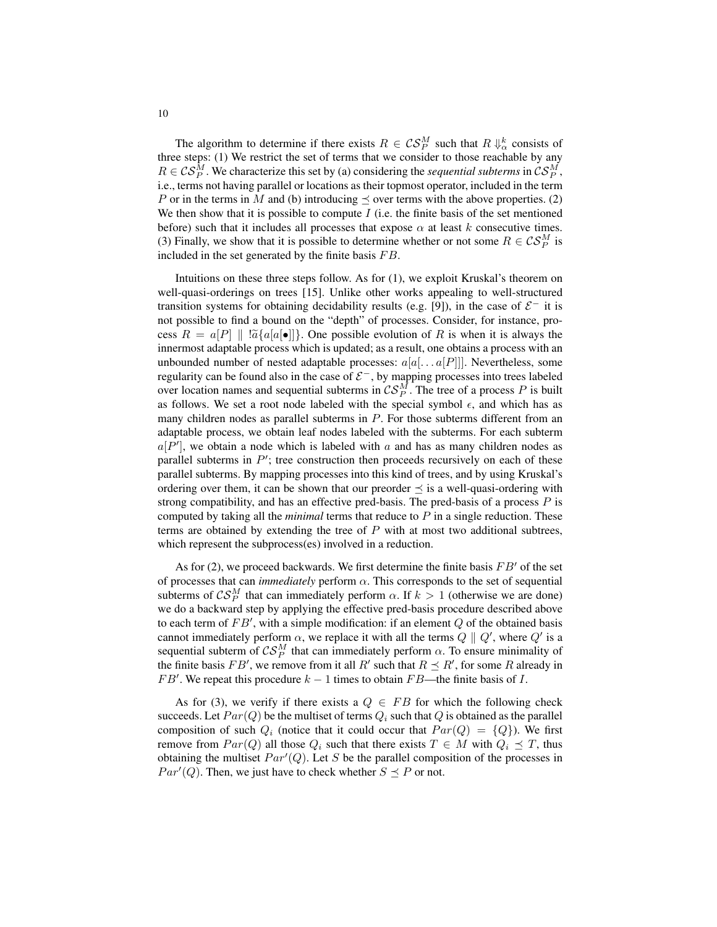The algorithm to determine if there exists  $R \in \mathcal{CS}_P^M$  such that  $R \Downarrow_{\alpha}^k$  consists of three steps: (1) We restrict the set of terms that we consider to those reachable by any  $R \in \mathcal{CS}_P^M$ . We characterize this set by (a) considering the *sequential subterms* in  $\mathcal{CS}_P^M$ , i.e., terms not having parallel or locations as their topmost operator, included in the term P or in the terms in M and (b) introducing  $\preceq$  over terms with the above properties. (2) We then show that it is possible to compute  $I$  (i.e. the finite basis of the set mentioned before) such that it includes all processes that expose  $\alpha$  at least k consecutive times. (3) Finally, we show that it is possible to determine whether or not some  $R \in \mathcal{CS}_P^M$  is included in the set generated by the finite basis  $FB$ .

Intuitions on these three steps follow. As for (1), we exploit Kruskal's theorem on well-quasi-orderings on trees [15]. Unlike other works appealing to well-structured transition systems for obtaining decidability results (e.g. [9]), in the case of  $\mathcal{E}^-$  it is not possible to find a bound on the "depth" of processes. Consider, for instance, process  $R = a[P] \parallel |\tilde{a} \{a[a] \bullet] \}$ . One possible evolution of R is when it is always the innermost adaptable process which is updated; as a result, one obtains a process with an unbounded number of nested adaptable processes:  $a[a[... a]P]]$ . Nevertheless, some regularity can be found also in the case of  $\mathcal{E}^-$ , by mapping processes into trees labeled over location names and sequential subterms in  $\mathcal{CS}_P^M$ . The tree of a process P is built as follows. We set a root node labeled with the special symbol  $\epsilon$ , and which has as many children nodes as parallel subterms in  $P$ . For those subterms different from an adaptable process, we obtain leaf nodes labeled with the subterms. For each subterm  $a[P']$ , we obtain a node which is labeled with a and has as many children nodes as parallel subterms in  $P'$ ; tree construction then proceeds recursively on each of these parallel subterms. By mapping processes into this kind of trees, and by using Kruskal's ordering over them, it can be shown that our preorder  $\preceq$  is a well-quasi-ordering with strong compatibility, and has an effective pred-basis. The pred-basis of a process  $P$  is computed by taking all the *minimal* terms that reduce to P in a single reduction. These terms are obtained by extending the tree of  $P$  with at most two additional subtrees, which represent the subprocess(es) involved in a reduction.

As for (2), we proceed backwards. We first determine the finite basis  $FB'$  of the set of processes that can *immediately* perform  $\alpha$ . This corresponds to the set of sequential subterms of  $\mathcal{CS}_P^M$  that can immediately perform  $\alpha$ . If  $k > 1$  (otherwise we are done) we do a backward step by applying the effective pred-basis procedure described above to each term of  $FB'$ , with a simple modification: if an element  $Q$  of the obtained basis cannot immediately perform  $\alpha$ , we replace it with all the terms  $Q \parallel Q'$ , where  $Q'$  is a sequential subterm of  $\mathcal{CS}_P^M$  that can immediately perform  $\alpha$ . To ensure minimality of the finite basis  $FB'$ , we remove from it all  $R'$  such that  $R \preceq R'$ , for some R already in  $FB'$ . We repeat this procedure  $k - 1$  times to obtain  $FB$ —the finite basis of I.

As for (3), we verify if there exists a  $Q \in FB$  for which the following check succeeds. Let  $Par(Q)$  be the multiset of terms  $Q_i$  such that Q is obtained as the parallel composition of such  $Q_i$  (notice that it could occur that  $Par(Q) = \{Q\}$ ). We first remove from  $Par(Q)$  all those  $Q_i$  such that there exists  $T \in M$  with  $Q_i \preceq T$ , thus obtaining the multiset  $Par'(Q)$ . Let S be the parallel composition of the processes in  $Par'(Q)$ . Then, we just have to check whether  $S \preceq P$  or not.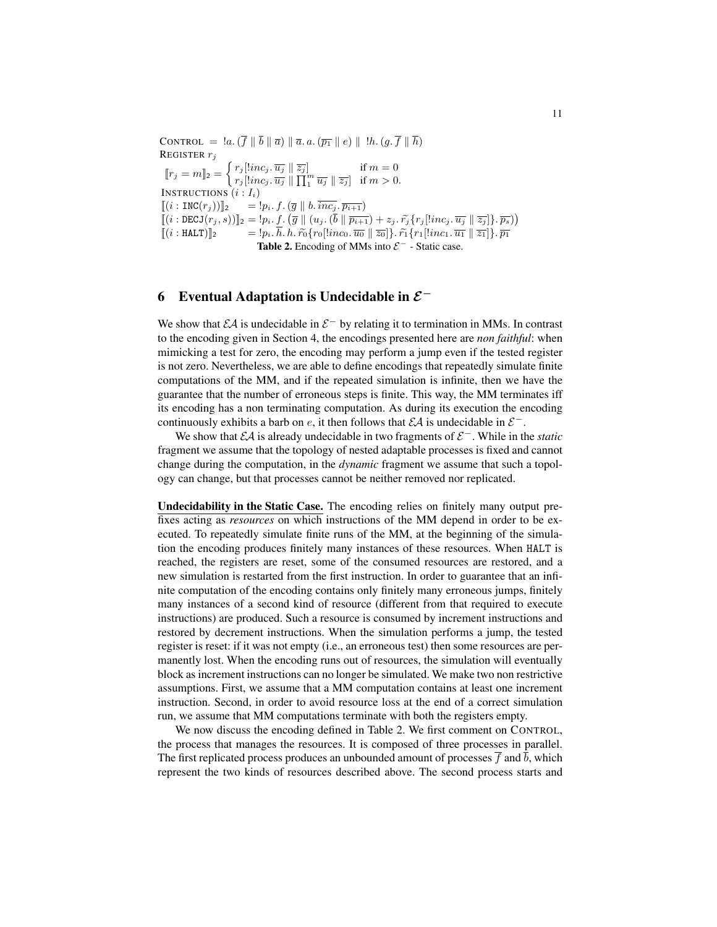CONTROL =  $a \cdot (\overline{f} \parallel \overline{b} \parallel \overline{a}) \parallel \overline{a} \cdot a \cdot (\overline{p_1} \parallel e) \parallel !h \cdot (g \cdot \overline{f} \parallel \overline{h})$ REGISTER  $r_j$  $[r_j = m]_2 = \begin{cases} r_j [linc_j, \overline{u_j} \parallel \overline{z_j}] & \text{if } m = 0 \\ \text{if } \overline{u_j} \text{ is } \overline{u_j} \parallel \overline{u_j} \parallel \overline{u_j} \parallel \overline{u_j} \parallel \overline{u_j} \end{cases}$  $r_j[linc_j, \overline{u_j} \parallel \overline{\prod_1^m u_j} \parallel \overline{z_j}]$  if  $m > 0$ . INSTRUCTIONS  $(i : I_i)$  $[(i : \text{INC}(r_j))]_2$  =  $!p_i. f. (\overline{g} || b. \overline{inc_j}.\overline{p_{i+1}})$  $[[(i : DECJ(r_j, s))]_2 = |p_i, f. (g || (u_j, (\bar{b} || \bar{p}_{i+1}) + z_j, \tilde{r}_j \{r_j \vert [inc_j, \bar{u}_j || \bar{z}_j]\}, \overline{p_s})$  $[(i : \text{HALT})]_2$  =  $:p_i. \overline{h}. \hat{h}. \tilde{r_0} \{r_0[linc_0.\overline{u_0} \parallel \overline{z_0}]\}.\tilde{r_1} \{r_1[linc_1.\overline{u_1} \parallel \overline{z_1}]\}.\overline{p_1}$ Table 2. Encoding of MMs into  $\mathcal{E}^-$  - Static case.

## 6 Eventual Adaptation is Undecidable in  $\mathcal{E}^-$

We show that  $\mathcal{E}A$  is undecidable in  $\mathcal{E}^-$  by relating it to termination in MMs. In contrast to the encoding given in Section 4, the encodings presented here are *non faithful*: when mimicking a test for zero, the encoding may perform a jump even if the tested register is not zero. Nevertheless, we are able to define encodings that repeatedly simulate finite computations of the MM, and if the repeated simulation is infinite, then we have the guarantee that the number of erroneous steps is finite. This way, the MM terminates iff its encoding has a non terminating computation. As during its execution the encoding continuously exhibits a barb on e, it then follows that  $\mathcal{EA}$  is undecidable in  $\mathcal{E}^-$ .

We show that *EA* is already undecidable in two fragments of  $\mathcal{E}^-$ . While in the *static* fragment we assume that the topology of nested adaptable processes is fixed and cannot change during the computation, in the *dynamic* fragment we assume that such a topology can change, but that processes cannot be neither removed nor replicated.

Undecidability in the Static Case. The encoding relies on finitely many output prefixes acting as *resources* on which instructions of the MM depend in order to be executed. To repeatedly simulate finite runs of the MM, at the beginning of the simulation the encoding produces finitely many instances of these resources. When HALT is reached, the registers are reset, some of the consumed resources are restored, and a new simulation is restarted from the first instruction. In order to guarantee that an infinite computation of the encoding contains only finitely many erroneous jumps, finitely many instances of a second kind of resource (different from that required to execute instructions) are produced. Such a resource is consumed by increment instructions and restored by decrement instructions. When the simulation performs a jump, the tested register is reset: if it was not empty (i.e., an erroneous test) then some resources are permanently lost. When the encoding runs out of resources, the simulation will eventually block as increment instructions can no longer be simulated. We make two non restrictive assumptions. First, we assume that a MM computation contains at least one increment instruction. Second, in order to avoid resource loss at the end of a correct simulation run, we assume that MM computations terminate with both the registers empty.

We now discuss the encoding defined in Table 2. We first comment on CONTROL, the process that manages the resources. It is composed of three processes in parallel. The first replicated process produces an unbounded amount of processes  $\overline{f}$  and  $\overline{b}$ , which represent the two kinds of resources described above. The second process starts and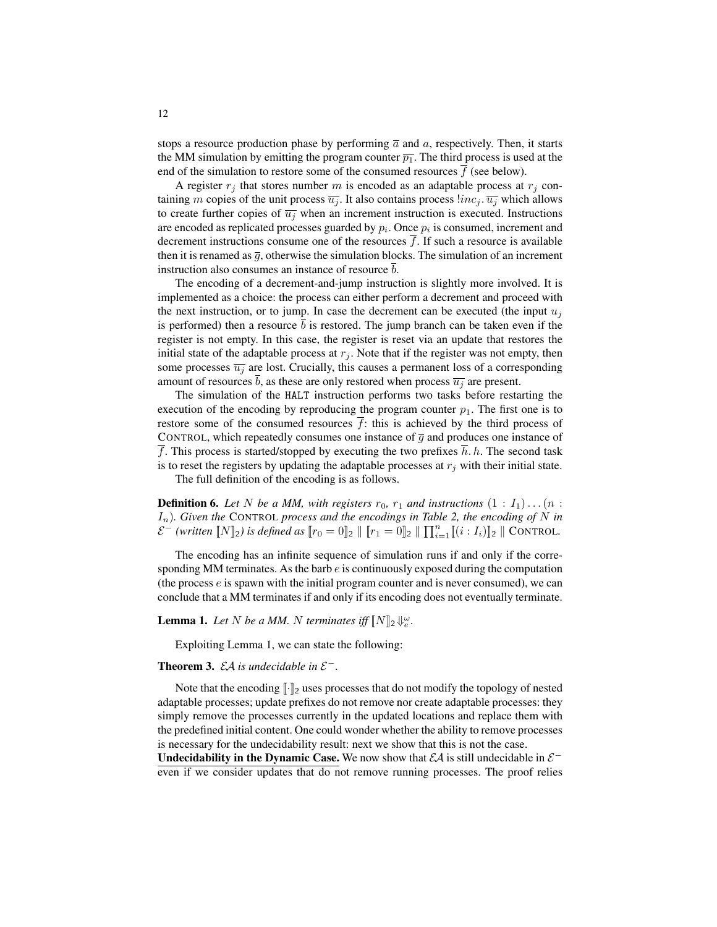stops a resource production phase by performing  $\bar{a}$  and a, respectively. Then, it starts the MM simulation by emitting the program counter  $\overline{p_1}$ . The third process is used at the end of the simulation to restore some of the consumed resources  $f$  (see below).

A register  $r_i$  that stores number m is encoded as an adaptable process at  $r_i$  containing m copies of the unit process  $\overline{u_i}$ . It also contains process  $\lim_{i} c_i$ .  $\overline{u_i}$  which allows to create further copies of  $\overline{u_i}$  when an increment instruction is executed. Instructions are encoded as replicated processes guarded by  $p_i$ . Once  $p_i$  is consumed, increment and decrement instructions consume one of the resources  $f$ . If such a resource is available then it is renamed as  $\overline{q}$ , otherwise the simulation blocks. The simulation of an increment instruction also consumes an instance of resource  $\bar{b}$ .

The encoding of a decrement-and-jump instruction is slightly more involved. It is implemented as a choice: the process can either perform a decrement and proceed with the next instruction, or to jump. In case the decrement can be executed (the input  $u_i$ is performed) then a resource  $\overline{b}$  is restored. The jump branch can be taken even if the register is not empty. In this case, the register is reset via an update that restores the initial state of the adaptable process at  $r_j$ . Note that if the register was not empty, then some processes  $\overline{u_i}$  are lost. Crucially, this causes a permanent loss of a corresponding amount of resources b, as these are only restored when process  $\overline{u_i}$  are present.

The simulation of the HALT instruction performs two tasks before restarting the execution of the encoding by reproducing the program counter  $p_1$ . The first one is to restore some of the consumed resources  $\overline{f}$ : this is achieved by the third process of CONTROL, which repeatedly consumes one instance of  $\overline{g}$  and produces one instance of  $\overline{f}$ . This process is started/stopped by executing the two prefixes  $\overline{h}$ . h. The second task is to reset the registers by updating the adaptable processes at  $r_j$  with their initial state.

The full definition of the encoding is as follows.

**Definition 6.** Let N be a MM, with registers  $r_0$ ,  $r_1$  and instructions  $(1 : I_1) \dots (n : I_n)$ In)*. Given the* CONTROL *process and the encodings in Table 2, the encoding of* N *in*  $\mathcal{E}^{-}$  *(written*  $\llbracket N \rrbracket_2$ *) is defined as*  $\llbracket r_0 = 0 \rrbracket_2 \parallel \llbracket r_1 = 0 \rrbracket_2 \parallel \prod_{i=1}^n \llbracket (i : I_i) \rrbracket_2 \parallel \text{CONTROL}.$ 

The encoding has an infinite sequence of simulation runs if and only if the corresponding MM terminates. As the barb  $e$  is continuously exposed during the computation (the process e is spawn with the initial program counter and is never consumed), we can conclude that a MM terminates if and only if its encoding does not eventually terminate.

**Lemma 1.** Let N be a MM. N terminates iff  $\llbracket N \rrbracket_2 \Downarrow_e^{\omega}$ .

Exploiting Lemma 1, we can state the following:

### **Theorem 3.**  $\mathcal{E}A$  is undecidable in  $\mathcal{E}^-$ .

Note that the encoding  $\lVert \cdot \rVert_2$  uses processes that do not modify the topology of nested adaptable processes; update prefixes do not remove nor create adaptable processes: they simply remove the processes currently in the updated locations and replace them with the predefined initial content. One could wonder whether the ability to remove processes is necessary for the undecidability result: next we show that this is not the case.

Undecidability in the Dynamic Case. We now show that  $\mathcal{EA}$  is still undecidable in  $\mathcal{E}^$ even if we consider updates that do not remove running processes. The proof relies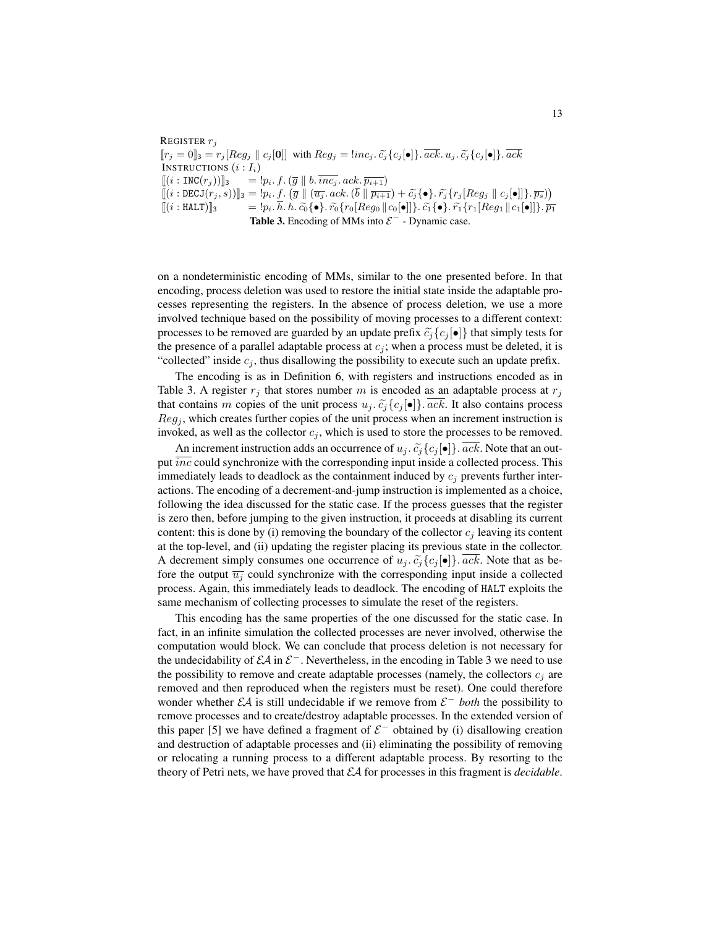REGISTER  $r_j$  $[r_j = 0]_3 = r_j[Reg_j || c_j[0]]$  with  $Reg_j = \{inc_j, \tilde{c}_j\{c_j[\bullet]\}\text{. } \overline{ack}, \tilde{c}_j\{c_j[\bullet]\}\text{. } \overline{ack}$ INSTRUCTIONS  $(i: I_i)$  $[(i : \text{INC}(r_j))]_3$  =  $!p_i. f. (\overline{g} || b. \overline{inc_j}. \mathit{ack} \cdot \overline{p_{i+1}})$  $[[(i : \texttt{DECJ}(r_j, s))]_3 = !p_i \cdot f \cdot (\overline{g} \parallel (\overline{u_j} \cdot acc \cdot (\overline{b} \parallel \overline{p_{i+1}}) + \widetilde{c_j} \{ \bullet \} \cdot \widetilde{r_j} \{ r_j [Reg_j \parallel c_j[\bullet]] \} \cdot \overline{p_s}) )$  $[(i : \texttt{HALT})]_3$  =  $!p_i. h. h. \widetilde{c_0} \{ \bullet \}. \widetilde{r_0} \{ r_0[Reg_0 || c_0[\bullet]] \}. \widetilde{c_1} \{ \bullet \}. \widetilde{r_1} \{ r_1[Reg_1 || c_1[\bullet]] \}. \overline{p_1}$ Table 3. Encoding of MMs into  $\mathcal{E}^-$  - Dynamic case.

on a nondeterministic encoding of MMs, similar to the one presented before. In that encoding, process deletion was used to restore the initial state inside the adaptable processes representing the registers. In the absence of process deletion, we use a more involved technique based on the possibility of moving processes to a different context: processes to be removed are guarded by an update prefix  $\tilde{c}_i\{c_i[\bullet]\}\$  that simply tests for the presence of a parallel adaptable process at  $c_j$ ; when a process must be deleted, it is "collected" inside  $c_j$ , thus disallowing the possibility to execute such an update prefix.

The encoding is as in Definition 6, with registers and instructions encoded as in Table 3. A register  $r_j$  that stores number m is encoded as an adaptable process at  $r_j$ that contains m copies of the unit process  $u_j$ .  $\tilde{c}_j\{c_j[\bullet]\}$ .  $\overline{ack}$ . It also contains process  $Reg<sub>i</sub>$ , which creates further copies of the unit process when an increment instruction is invoked, as well as the collector  $c_j$ , which is used to store the processes to be removed.

An increment instruction adds an occurrence of  $u_j$ .  $\tilde{c}_j\{c_j[\bullet]\}$ .  $\overline{ack}$ . Note that an output *inc* could synchronize with the corresponding input inside a collected process. This immediately leads to deadlock as the containment induced by  $c_j$  prevents further interactions. The encoding of a decrement-and-jump instruction is implemented as a choice, following the idea discussed for the static case. If the process guesses that the register is zero then, before jumping to the given instruction, it proceeds at disabling its current content: this is done by (i) removing the boundary of the collector  $c_j$  leaving its content at the top-level, and (ii) updating the register placing its previous state in the collector. A decrement simply consumes one occurrence of  $u_i$ .  $\tilde{c}_i\{c_i[\bullet]\}\$ . ack. Note that as before the output  $\overline{u_j}$  could synchronize with the corresponding input inside a collected process. Again, this immediately leads to deadlock. The encoding of HALT exploits the same mechanism of collecting processes to simulate the reset of the registers.

This encoding has the same properties of the one discussed for the static case. In fact, in an infinite simulation the collected processes are never involved, otherwise the computation would block. We can conclude that process deletion is not necessary for the undecidability of  $\mathcal{E}A$  in  $\mathcal{E}^-$ . Nevertheless, in the encoding in Table 3 we need to use the possibility to remove and create adaptable processes (namely, the collectors  $c_i$  are removed and then reproduced when the registers must be reset). One could therefore wonder whether  $\mathcal{E}A$  is still undecidable if we remove from  $\mathcal{E}^-$  *both* the possibility to remove processes and to create/destroy adaptable processes. In the extended version of this paper [5] we have defined a fragment of  $\mathcal{E}^-$  obtained by (i) disallowing creation and destruction of adaptable processes and (ii) eliminating the possibility of removing or relocating a running process to a different adaptable process. By resorting to the theory of Petri nets, we have proved that EA for processes in this fragment is *decidable*.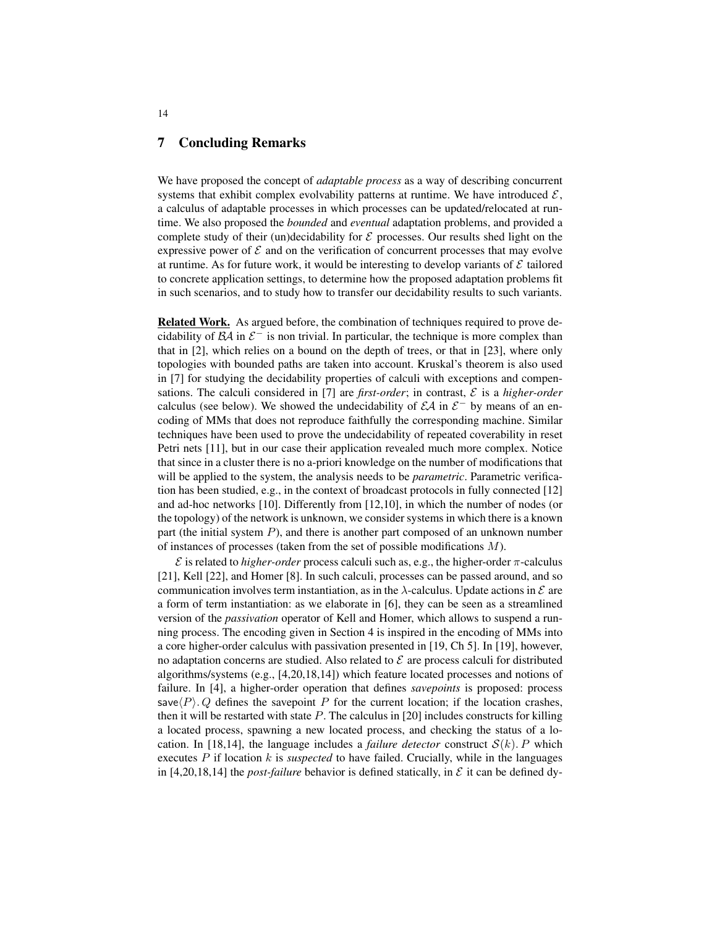## 7 Concluding Remarks

We have proposed the concept of *adaptable process* as a way of describing concurrent systems that exhibit complex evolvability patterns at runtime. We have introduced  $\mathcal{E}$ , a calculus of adaptable processes in which processes can be updated/relocated at runtime. We also proposed the *bounded* and *eventual* adaptation problems, and provided a complete study of their (un)decidability for  $\mathcal E$  processes. Our results shed light on the expressive power of  $\mathcal E$  and on the verification of concurrent processes that may evolve at runtime. As for future work, it would be interesting to develop variants of  $\mathcal E$  tailored to concrete application settings, to determine how the proposed adaptation problems fit in such scenarios, and to study how to transfer our decidability results to such variants.

Related Work. As argued before, the combination of techniques required to prove decidability of  $\beta A$  in  $\beta$ <sup>-</sup> is non trivial. In particular, the technique is more complex than that in [2], which relies on a bound on the depth of trees, or that in [23], where only topologies with bounded paths are taken into account. Kruskal's theorem is also used in [7] for studying the decidability properties of calculi with exceptions and compensations. The calculi considered in [7] are *first-order*; in contrast,  $\mathcal{E}$  is a *higher-order* calculus (see below). We showed the undecidability of  $\mathcal{E}A$  in  $\mathcal{E}^-$  by means of an encoding of MMs that does not reproduce faithfully the corresponding machine. Similar techniques have been used to prove the undecidability of repeated coverability in reset Petri nets [11], but in our case their application revealed much more complex. Notice that since in a cluster there is no a-priori knowledge on the number of modifications that will be applied to the system, the analysis needs to be *parametric*. Parametric verification has been studied, e.g., in the context of broadcast protocols in fully connected [12] and ad-hoc networks [10]. Differently from [12,10], in which the number of nodes (or the topology) of the network is unknown, we consider systems in which there is a known part (the initial system  $P$ ), and there is another part composed of an unknown number of instances of processes (taken from the set of possible modifications  $M$ ).

 $\mathcal E$  is related to *higher-order* process calculi such as, e.g., the higher-order  $\pi$ -calculus [21], Kell [22], and Homer [8]. In such calculi, processes can be passed around, and so communication involves term instantiation, as in the  $\lambda$ -calculus. Update actions in  $\mathcal E$  are a form of term instantiation: as we elaborate in [6], they can be seen as a streamlined version of the *passivation* operator of Kell and Homer, which allows to suspend a running process. The encoding given in Section 4 is inspired in the encoding of MMs into a core higher-order calculus with passivation presented in [19, Ch 5]. In [19], however, no adaptation concerns are studied. Also related to  $\mathcal E$  are process calculi for distributed algorithms/systems (e.g., [4,20,18,14]) which feature located processes and notions of failure. In [4], a higher-order operation that defines *savepoints* is proposed: process save $\langle P \rangle$ . Q defines the savepoint P for the current location; if the location crashes, then it will be restarted with state  $P$ . The calculus in [20] includes constructs for killing a located process, spawning a new located process, and checking the status of a location. In [18,14], the language includes a *failure detector* construct  $S(k)$ . P which executes  $P$  if location  $k$  is *suspected* to have failed. Crucially, while in the languages in [4,20,18,14] the *post-failure* behavior is defined statically, in  $\mathcal E$  it can be defined dy